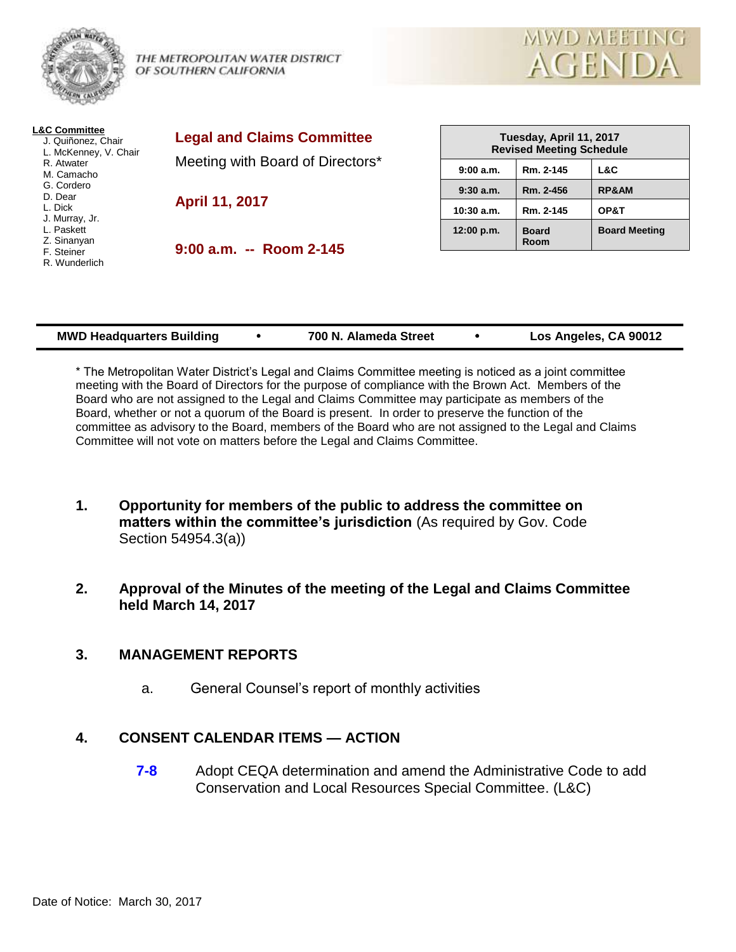

THE METROPOLITAN WATER DISTRICT OF SOUTHERN CALIFORNIA



| <b>L&amp;C Committee</b><br>J. Quiñonez, Chair<br>L. McKenney, V. Chair<br>R. Atwater<br>M. Camacho            | <b>Legal and Claims Committee</b><br>Meeting with Board of Directors* | Tuesday, April 11, 2017<br><b>Revised Meeting Schedule</b> |                             |                      |
|----------------------------------------------------------------------------------------------------------------|-----------------------------------------------------------------------|------------------------------------------------------------|-----------------------------|----------------------|
|                                                                                                                |                                                                       | 9:00a.m.                                                   | Rm. 2-145                   | L&C                  |
| G. Cordero<br>D. Dear<br>L. Dick<br>J. Murray, Jr.<br>L. Paskett<br>Z. Sinanyan<br>F. Steiner<br>R. Wunderlich | April 11, 2017                                                        | $9:30$ a.m.                                                | Rm. 2-456                   | <b>RP&amp;AM</b>     |
|                                                                                                                |                                                                       | $10:30$ a.m.                                               | Rm. 2-145                   | OP&T                 |
|                                                                                                                | $9:00$ a.m. $-$ Room 2-145                                            | 12:00 p.m.                                                 | <b>Board</b><br><b>Room</b> | <b>Board Meeting</b> |
|                                                                                                                |                                                                       |                                                            |                             |                      |

| <b>MWD Headquarters Building</b> | 700 N. Alameda Street | Los Angeles, CA 90012 |
|----------------------------------|-----------------------|-----------------------|
|                                  |                       |                       |

\* The Metropolitan Water District's Legal and Claims Committee meeting is noticed as a joint committee meeting with the Board of Directors for the purpose of compliance with the Brown Act. Members of the Board who are not assigned to the Legal and Claims Committee may participate as members of the Board, whether or not a quorum of the Board is present. In order to preserve the function of the committee as advisory to the Board, members of the Board who are not assigned to the Legal and Claims Committee will not vote on matters before the Legal and Claims Committee.

- **1. Opportunity for members of the public to address the committee on matters within the committee's jurisdiction** (As required by Gov. Code Section 54954.3(a))
- **2. Approval of the Minutes of the meeting of the Legal and Claims Committee held March 14, 2017**

## **3. MANAGEMENT REPORTS**

a. General Counsel's report of monthly activities

# **4. CONSENT CALENDAR ITEMS — ACTION**

**7-8** Adopt CEQA determination and amend the Administrative Code to add Conservation and Local Resources Special Committee. (L&C)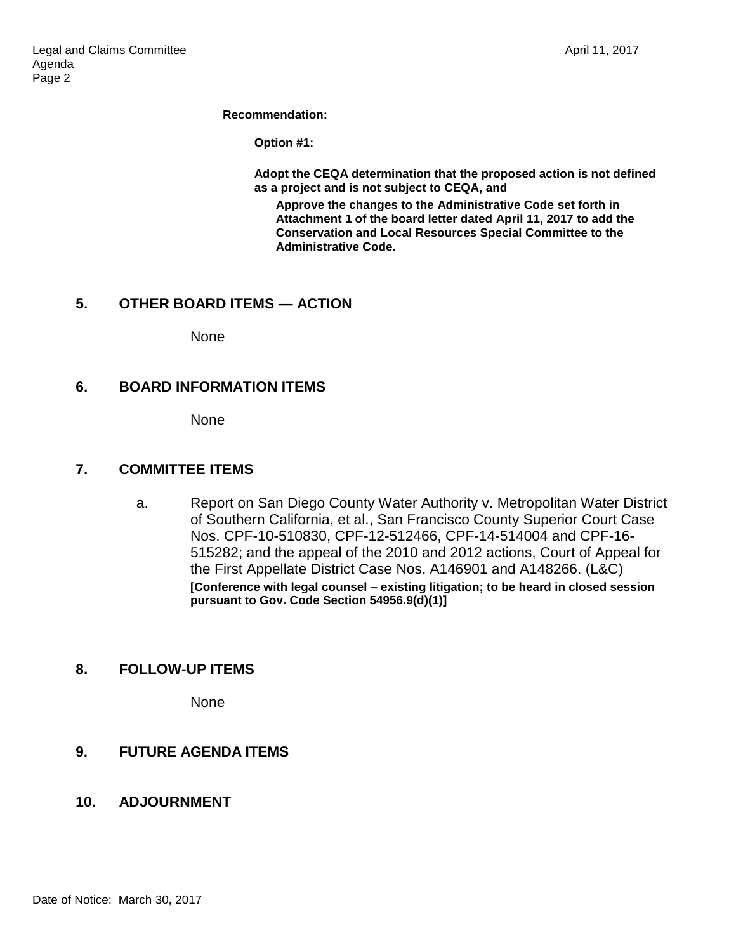**Recommendation:**

**Option #1:**

**Adopt the CEQA determination that the proposed action is not defined as a project and is not subject to CEQA, and**

**Approve the changes to the Administrative Code set forth in Attachment 1 of the board letter dated April 11, 2017 to add the Conservation and Local Resources Special Committee to the Administrative Code.**

## **5. OTHER BOARD ITEMS — ACTION**

None

## **6. BOARD INFORMATION ITEMS**

None

#### **7. COMMITTEE ITEMS**

a. Report on San Diego County Water Authority v. Metropolitan Water District of Southern California, et al., San Francisco County Superior Court Case Nos. CPF-10-510830, CPF-12-512466, CPF-14-514004 and CPF-16- 515282; and the appeal of the 2010 and 2012 actions, Court of Appeal for the First Appellate District Case Nos. A146901 and A148266. (L&C) **[Conference with legal counsel – existing litigation; to be heard in closed session pursuant to Gov. Code Section 54956.9(d)(1)]**

## **8. FOLLOW-UP ITEMS**

None

## **9. FUTURE AGENDA ITEMS**

## **10. ADJOURNMENT**